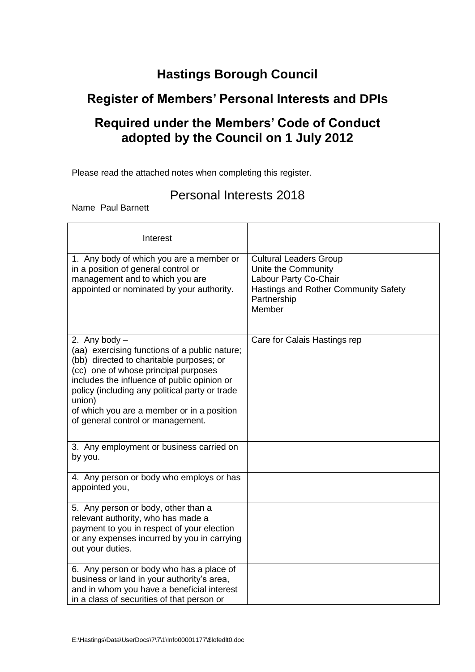# **Hastings Borough Council**

## **Register of Members' Personal Interests and DPIs**

# **Required under the Members' Code of Conduct adopted by the Council on 1 July 2012**

Please read the attached notes when completing this register.

### Personal Interests 2018

Name Paul Barnett

| Interest                                                                                                                                                                                                                                                                                                                                           |                                                                                                                                                |
|----------------------------------------------------------------------------------------------------------------------------------------------------------------------------------------------------------------------------------------------------------------------------------------------------------------------------------------------------|------------------------------------------------------------------------------------------------------------------------------------------------|
| 1. Any body of which you are a member or<br>in a position of general control or<br>management and to which you are<br>appointed or nominated by your authority.                                                                                                                                                                                    | <b>Cultural Leaders Group</b><br>Unite the Community<br>Labour Party Co-Chair<br>Hastings and Rother Community Safety<br>Partnership<br>Member |
| 2. Any body $-$<br>(aa) exercising functions of a public nature;<br>(bb) directed to charitable purposes; or<br>(cc) one of whose principal purposes<br>includes the influence of public opinion or<br>policy (including any political party or trade<br>union)<br>of which you are a member or in a position<br>of general control or management. | Care for Calais Hastings rep                                                                                                                   |
| 3. Any employment or business carried on<br>by you.                                                                                                                                                                                                                                                                                                |                                                                                                                                                |
| 4. Any person or body who employs or has<br>appointed you,                                                                                                                                                                                                                                                                                         |                                                                                                                                                |
| 5. Any person or body, other than a<br>relevant authority, who has made a<br>payment to you in respect of your election<br>or any expenses incurred by you in carrying<br>out your duties.                                                                                                                                                         |                                                                                                                                                |
| 6. Any person or body who has a place of<br>business or land in your authority's area,<br>and in whom you have a beneficial interest<br>in a class of securities of that person or                                                                                                                                                                 |                                                                                                                                                |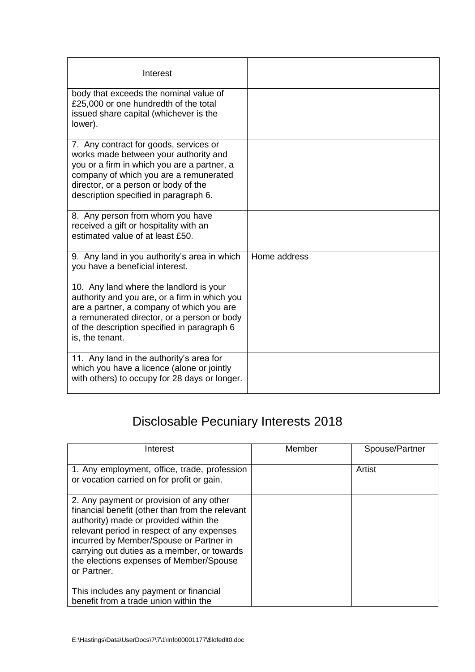| Interest                                                                                                                                                                                                                                                  |              |
|-----------------------------------------------------------------------------------------------------------------------------------------------------------------------------------------------------------------------------------------------------------|--------------|
| body that exceeds the nominal value of<br>£25,000 or one hundredth of the total<br>issued share capital (whichever is the<br>lower).                                                                                                                      |              |
| 7. Any contract for goods, services or<br>works made between your authority and<br>you or a firm in which you are a partner, a<br>company of which you are a remunerated<br>director, or a person or body of the<br>description specified in paragraph 6. |              |
| 8. Any person from whom you have<br>received a gift or hospitality with an<br>estimated value of at least £50.                                                                                                                                            |              |
| 9. Any land in you authority's area in which<br>you have a beneficial interest.                                                                                                                                                                           | Home address |
| 10. Any land where the landlord is your<br>authority and you are, or a firm in which you<br>are a partner, a company of which you are<br>a remunerated director, or a person or body<br>of the description specified in paragraph 6<br>is, the tenant.    |              |
| 11. Any land in the authority's area for<br>which you have a licence (alone or jointly<br>with others) to occupy for 28 days or longer.                                                                                                                   |              |

# Disclosable Pecuniary Interests 2018

| Interest                                                                                                                                                                                                                                                                                                                                | Member | Spouse/Partner |
|-----------------------------------------------------------------------------------------------------------------------------------------------------------------------------------------------------------------------------------------------------------------------------------------------------------------------------------------|--------|----------------|
| 1. Any employment, office, trade, profession<br>or vocation carried on for profit or gain.                                                                                                                                                                                                                                              |        | Artist         |
| 2. Any payment or provision of any other<br>financial benefit (other than from the relevant<br>authority) made or provided within the<br>relevant period in respect of any expenses<br>incurred by Member/Spouse or Partner in<br>carrying out duties as a member, or towards<br>the elections expenses of Member/Spouse<br>or Partner. |        |                |
| This includes any payment or financial<br>benefit from a trade union within the                                                                                                                                                                                                                                                         |        |                |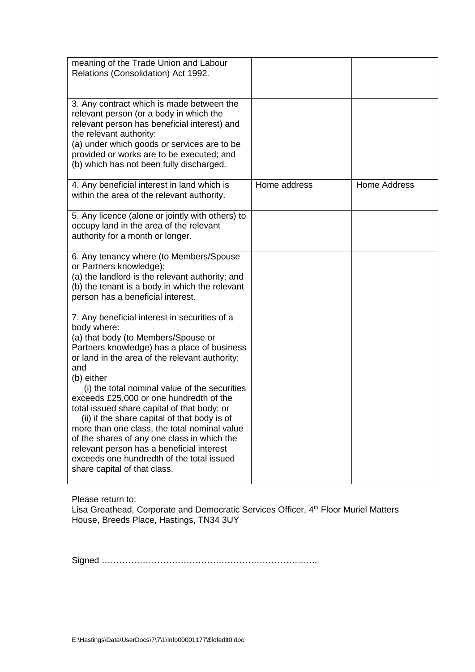| meaning of the Trade Union and Labour<br>Relations (Consolidation) Act 1992.                                                                                                                                                                                                                                                                                                                                                                                                                                                                                                                                                                  |              |                     |
|-----------------------------------------------------------------------------------------------------------------------------------------------------------------------------------------------------------------------------------------------------------------------------------------------------------------------------------------------------------------------------------------------------------------------------------------------------------------------------------------------------------------------------------------------------------------------------------------------------------------------------------------------|--------------|---------------------|
| 3. Any contract which is made between the<br>relevant person (or a body in which the<br>relevant person has beneficial interest) and<br>the relevant authority:<br>(a) under which goods or services are to be<br>provided or works are to be executed; and<br>(b) which has not been fully discharged.                                                                                                                                                                                                                                                                                                                                       |              |                     |
| 4. Any beneficial interest in land which is<br>within the area of the relevant authority.                                                                                                                                                                                                                                                                                                                                                                                                                                                                                                                                                     | Home address | <b>Home Address</b> |
| 5. Any licence (alone or jointly with others) to<br>occupy land in the area of the relevant<br>authority for a month or longer.                                                                                                                                                                                                                                                                                                                                                                                                                                                                                                               |              |                     |
| 6. Any tenancy where (to Members/Spouse<br>or Partners knowledge):<br>(a) the landlord is the relevant authority; and<br>(b) the tenant is a body in which the relevant<br>person has a beneficial interest.                                                                                                                                                                                                                                                                                                                                                                                                                                  |              |                     |
| 7. Any beneficial interest in securities of a<br>body where:<br>(a) that body (to Members/Spouse or<br>Partners knowledge) has a place of business<br>or land in the area of the relevant authority;<br>and<br>(b) either<br>(i) the total nominal value of the securities<br>exceeds £25,000 or one hundredth of the<br>total issued share capital of that body; or<br>(ii) if the share capital of that body is of<br>more than one class, the total nominal value<br>of the shares of any one class in which the<br>relevant person has a beneficial interest<br>exceeds one hundredth of the total issued<br>share capital of that class. |              |                     |

Please return to:

Lisa Greathead, Corporate and Democratic Services Officer, 4<sup>th</sup> Floor Muriel Matters House, Breeds Place, Hastings, TN34 3UY

Signed ………………………………………………………………..